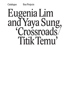# Eugenia Lim and Yaya Sung, 'Crossroads/ Titik Temu'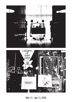



Mar. 11–Apr. 11, 2020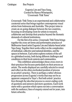Eugenia Lim and Yaya Sung, Curated by Bianca Winataputri, 'Crossroads/Titik Temu'

Crossroads/Titik Temu is an experimental and collaborative curatorial series that brings together contemporary visual artists from Indonesia and Australia. This project aims to create an on-going dialogue between the two countries, focusing on developing room for artists to research, collaborate and develop their practice beyond the thematic demands of cultural institutions.

For the first of its series, Crossroads/Titik Temu brings together the cross-art forms and performative practices of Melbourne-based artist Eugenia Lim and Jakarta-based artist Yaya Sung. Together their works reflect on the complexities of individual, collective and national identities, and the spaces in between. Each artist explores notions of the self in a globalised society, both facing different challenges and conditions in their local contexts and communities.

This exhibition acknowledges these cross-overs in their practices but focuses particularly on their process as artists. The works displayed are carefully selected to reveal and reflect on the often overlooked position of process in an artist's practice. There is perhaps a rather obvious progression across Eugenia's works that may not be as apparent compared to Yaya's. But both artists' practice lives through the idea that process is a never-ending cycle of questions and answers and more questions. Each work starts with a question which opens out into a conversation with the audience; lines of enquiry extend out for years, into future artworks.

3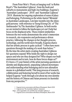From Peter Weir's 'Picnic at hanging rock' to Robin Boyd's 'The Australian Ugliness', from the bush and suburbs to monuments and high-rise buildings, Eugenia's 'Australian Landscapes' (2010) and 'Australian Ugliness' (2018) illustrate her ongoing exploration of sense of place and belonging. Performing as the white-haired 'Miranda' in Australian Landscapes, Lim later morphs into the shinygold persona (with reference to Tseng Kwong Chi) of 'The Ambassador' by The Australian Ugliness. In both works we are invited to follow the landscapes yet can't help but focus on the displaced artis. These evident similarities between the two works demonstrate the artist's immersion in research, site-responsive and performance-driven practice, following the changes in her thought-process, technology, and the world more broadly. Eugenia shares that her artistic process is quite cyclical: ''I often have more questions through the making of a work than before."1 By the time the artist starts creating Australian Ugliness her questions expand: Who holds the right to design our spaces and who are they designed for? Who shapes our built environment and in turn, how do these forces shape us?<sup>2</sup> It's been a 15-year history of the artist pursuing questions of identity and displacement, unpacking cultural stereotypes and understanding what belonging and in turn alienation means in a globalised world. This long process of research, collaboration and featuring herself in most of her works has helped Eugenia "work through a lot about my own identity and the history of Chinese and Asian presence in Australia from my perspective."3

- 1 Eugenia Lim in conversation with Bianca Winataputri, March 2020
- 2 Eugenia Lim 'The Australian Ugliness' statement,
- https://www.eugenialim.com/portfolio/the-australian-ugliness-2/
	- 3 Eugenia Lim in conversation with Bianca Winataputri, March 2020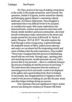For Yaya, process is her way of making connections: to the world, to the people around her, and to herself. Her questions, similar to Eugenia, revolve around her identity and belonging against Jakarta's contrasting cultural landscape. As Chinese-Indonesian, Yaya struggled to understand why it was difficult for her to be accepted or considered as equal. After many explorations into historical books, archives and numerous interviews with friends, family members and local communities, she found herself continuing to make connections to the stories and people around her, but most of all herself. In 'Study of sanity: Flexuous (2015 & 2019)' the artist explores her body through a series of yoga poses. Captured through the malleable texture of fabric, pulled across sideways and under, we can almost feel the invigorating stretch and sense of balance that the artist experiences. Yaya recalled "Never have I imagined that this process of familiarising myself with my own body [through yoga], opening joints and stretching muscles, would rejuvenate my soul. I felt a process that is very personal … there is a similarity between the process of making art and this process of exercising."4 The artist draws this connection from the tendency of assessing process by its end result: a work of art displayed in the gallery and a good-looking body. But it is feelings of uncertainty, fear, disappointment or happiness that is central to the process of making art, just like the pain, weary and often fatigue feelings during an exercise.

One experience that was significant to Yaya's artistic process was during her residency at Treasure Hill Artist

<sup>4</sup> Yaya Sung 'Study of sanity: Flexuous (2015 & 2019)' statement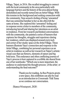Village, Taipei, in 2016. She recalled struggling to connect with the local community in the area particularly with language barriers and the history of the area almost being demolished and recently turned into an Artist Village. With this tension in the background and seeking connection with the community, Yaya sensed a feeling of being 'unwanted' that was somewhat familiar to her as she often felt the same at home. She explored this 'unwanted' feeling and in response wrote a letter to members of the community, introducing herself and sharing her intentions as an artist in residence. From her research and limited conversations with the community, she painted a series of banners that captures her thoughts, struggles and experience during her residency, which was displayed around every inch and corner of her studio/space at the Artist Village. These banners illustrate Yaya's connection and response to the Artist Village, combining her personal experience as an artist in residence as well as her research on Taipei's artistic/ visual cues that use flowers, elements of nature and big bold texts. This endurance and often conflicting journey of Yaya's process is best captured in a scribble she shared from one of her notebooks: "Which one is more important, the audience to understand the thought process [of the artist] or understanding the final outcome?"

> Thank you for reading. As Bus Projects greets a new space, this exhibition can also be read as an introduction to Crossroads/Titik Temu as we continue our conversation.

(Bianca Winataputri, 2020)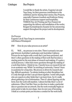I would like to thank the artists, Eugenia Lim and Yaya Sung, for their generous contribution to the exhibition and for sharing their stories; Bus Projects, especially Channon Goodwin and Kathryne Honey for their continuous support and hospitality; THIRDS Fine Art Printing and Neo Framers for supporting the delivery and installation of the works; Reagan Kurniadwiputra Susanto for his unwavering support throughout the project and its development.

On Process: Eugenia Lim & Yaya Sung in conversation with Bianca Winataputri

BW How do you value process as an artist?

EL Well ... my process is very slow. There is around a ten year gap between Australian Landscapes and Australian Ugliness. Process for me begins with a work that's just been presented, and there's often questions in the making of that work that becomes a starting point for the next phase of research and making. It's quite a cyclical process. I often have more questions through the making of a work than before. I think for me, I heavily focus on research but not in an academic way. While I'm teaching at university, I haven't been in academia for a long time. My process is driven by research and big, difficult questions. I'm always looking at other disciplines but it's only through art that I can put them together. I work with people who are experts in other fields that I can learn from. So it's really about gathering a lot of information. Then it's about figuring out the form; how the work will manifest. I almost feel like there's a lot of unknowns. Often I feel like I have no idea how to make a particular idea or question into an artwork. But the work eventually begins at some point to take its own shape, have its own way of becoming. I think at a certain point you become a conduit for the work itself.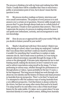The process is thinking a lot with my brain and realising how little I know. Usually there will be a deadline that I have to meet from a public or presentation point of view, but it doesn't mean that the question is over.

YS My process involves readings on history, interviews and even casual conversations. The purpose of every process is to seek answers over a certain set of questions. However oddly enough every process that I've gone through always leads me to a whole bunch of other questions. It leads to more questions than answers. This is why I appreciate the journey of a process in making artwork because it can sparks new enthusiasm, curiosity, and encouragement to seek new knowledge.

BW How do you see or approach the self in your works? Why did you decide to feature yourself in your works?

EL Maybe I should start with how I first started. I think it was really during art school, when I was doing my undergrad. I realised that I was always there and that I could use myself as material, it wouldn't be something that I would have to explain or make someone else do. And it made sense to perform; as I was trying to unpack cultural stereotypes especially through the image or the screen or the photograph. It became quite important for me to start framing myself, making the decisions on how I wanted to be seen and to subvert expectations using myself as the image. I've been performing in various ways, whether through live performances or through photos or videos, I guess probably for the last 15 years; a lot has happened. This long process helped me work through a lot about my own identity and the history of Chinese and Asian presence in Australia from my perspective. There's a lot that I've learnt and I've attempted to offer the audience ways of seeing Australia from a very different perspective. I feel that history is always written by the victors, but there are many other stories that need to be heard. I'm using myself to try and reflect even a slice of that much larger history for the wider public. It's taken me to a point where I'm now interested identity in a more global context, shifting from Australia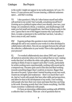to the world. I might not appear in my works anymore, let's see. It's been a 15-year process and I'm now entering a different unknown space ... and that's exciting.

YS I also question it. Why do I often feature myself and utilise self-portrait in my works? Am I actually, actualising myself here? Growing up in a political regime where your identity, your race, your beings are considered a threat, a weakness, and disadvantages will make you feel small and insignificant. And those feelings sucks to the core. I guess that is one of the biggest reasons why I put myself out there, to make a statement to the world that I am here, I am alive, I have a story to tell, and I matter.

BW Eugenia perhaps this question is more relevant to you, although the self is very central in your works it is often developed in collaboration with others. How do you navigate between the self and the collective/collaborative in your works? How is this significant in your process?

EL I've worked collaboratively since about 2005 and I guess it all started at university when a lot of us realised that we were making works that don't sit within the white cube gallery setting. We were starting to think of ways to support each other's works, particularly for artists working more experimentally, working with sound and in a temporal way. I became quite used to this idea and liked working towards something bigger than I could do on myown. Bigger than the sum of its parts. I guess when I started focusing on my own work, I learnt my strengths and weaknesses – there's so much that I can't do. And so I work with people that have other skills and perspectives, and allow for that in the development of my works. I love working with people who have their own vision and input that they can bring to the work. Knowing acutely that I don't know everything, I feel like I learn everytime I collaborate with people.

It's been an interesting collaboration working with APHIDS, a collective that I co-direct. There are a lot of questions that we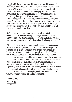grapple with: how does authorship and co-authorship manifest? How do you work through an artist's vision that can't work without the many? It's a constant negotiation that I work through with APHIDS and my own work. Acknowledging people's contributions is so crucial. It's always about taking in and bringing people in, but talking about process, it's also about allowing time for the development of the idea and the way of working instead of the end result. Allowing time for the relationship to grow. I think also coming from a visual art context, that modernist perspective of the single author, the genius solo artist, can be frustrating. And I try to break that apart as much as possible.

BW Yaya in your case, your research involves a lot of conversations or interview with your family members and local communities. How do you combine or I guess negotiate their stories and your own personal stories/feelings when developing your works?

YS Oh this process of having casual conversations or interviews really came out of my interest in hearing their stories/perspectives/ personal experiences. I also question it myself, why am I always looking or collecting stories from the people around me? "When you're an outsider, you're always working to see different people's point of view because the world is never yours." I came to a realization that the reason to search and collect other people's stories is an effort to find similarities, a sense of belonging, an emotion or personal stories that I can connect or relate to. In terms of combining or negotiating these stories in my work, usually after these conversations that I have with other people I will raise a few things that I can relate to, or understand. It's an instinct play, really. You find what moves you, what triggers you inside, and then you proceed.

### Supported by,



FINE ART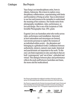Yaya Sung is an interdisciplinary artist, born in Jakarta, Indonesia. She is keen to explore crossdisciplinary collaborations, experimenting with limits and boundaries of being an artist. Yaya is determined to use fear and trauma as the metaphor to understand the meaning of her existence. Her media varies from photography, installation, video, performance, to text and design. She is one of the recipients of 16th Invisible Photographer Asia (IPA) grant.

Eugenia Lim is an Australian artist who works across video, performance and installation. Interested in how nationalism and stereotypes are formed, Lim invents personas to explore the tensions of an individual within society – the alienation and belonging in a globalised world. Conflations between authenticity, mimicry, natural, man-made, historical and anachronistic are important to the work. To this end, Lim finds inspiration in sites and objects that are both 'contemporary' and 'out of time', embodied and virtual. This dialogue between place and performance reflects the push-pull between Australian and Asian, the mono and the multicultural.

Bus Projects acknowledges the traditional custodians of the land on which we operate: the Wurundjeri people and Elders past and present of the Kulin nations.

Bus Projects is supported by the Victorian Government through Creative Victoria and by the Australian Government through the Australia Council, its arts funding and advisory body. Bus Projects' 2017–19 Program is supported by the City of Yarra.